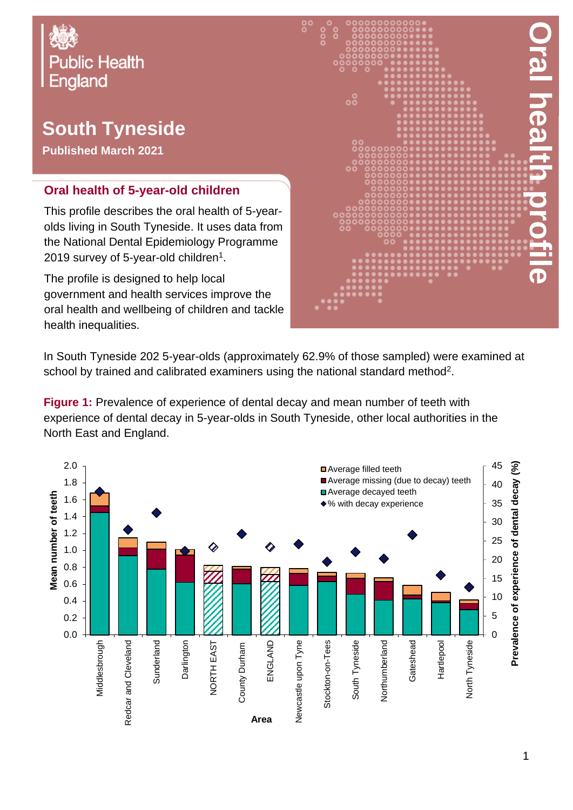

## **South Tyneside**

**Published March 2021**

## **Oral health of 5-year-old children**

This profile describes the oral health of 5-yearolds living in South Tyneside. It uses data from the National Dental Epidemiology Programme 2019 survey of 5-year-old children $^{\rm 1}.$ 

The profile is designed to help local government and health services improve the oral health and wellbeing of children and tackle health inequalities.



In South Tyneside 202 5-year-olds (approximately 62.9% of those sampled) were examined at school by trained and calibrated examiners using the national standard method<sup>2</sup>.

**Figure 1:** Prevalence of experience of dental decay and mean number of teeth with experience of dental decay in 5-year-olds in South Tyneside, other local authorities in the North East and England.

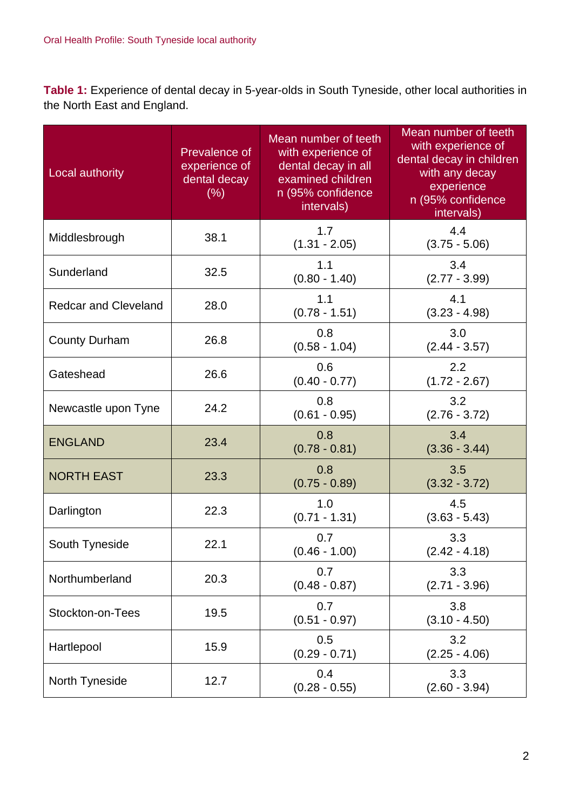**Table 1:** Experience of dental decay in 5-year-olds in South Tyneside, other local authorities in the North East and England.

| Local authority             | Prevalence of<br>experience of<br>dental decay<br>(% ) | Mean number of teeth<br>with experience of<br>dental decay in all<br>examined children<br>n (95% confidence<br>intervals) | Mean number of teeth<br>with experience of<br>dental decay in children<br>with any decay<br>experience<br>n (95% confidence<br>intervals) |
|-----------------------------|--------------------------------------------------------|---------------------------------------------------------------------------------------------------------------------------|-------------------------------------------------------------------------------------------------------------------------------------------|
| Middlesbrough               | 38.1                                                   | 1.7<br>$(1.31 - 2.05)$                                                                                                    | 4.4<br>$(3.75 - 5.06)$                                                                                                                    |
| Sunderland                  | 32.5                                                   | 1.1<br>$(0.80 - 1.40)$                                                                                                    | 3.4<br>$(2.77 - 3.99)$                                                                                                                    |
| <b>Redcar and Cleveland</b> | 28.0                                                   | 1.1<br>$(0.78 - 1.51)$                                                                                                    | 4.1<br>$(3.23 - 4.98)$                                                                                                                    |
| <b>County Durham</b>        | 26.8                                                   | 0.8<br>$(0.58 - 1.04)$                                                                                                    | 3.0<br>$(2.44 - 3.57)$                                                                                                                    |
| Gateshead                   | 26.6                                                   | 0.6<br>$(0.40 - 0.77)$                                                                                                    | 2.2<br>$(1.72 - 2.67)$                                                                                                                    |
| Newcastle upon Tyne         | 24.2                                                   | 0.8<br>$(0.61 - 0.95)$                                                                                                    | 3.2<br>$(2.76 - 3.72)$                                                                                                                    |
| <b>ENGLAND</b>              | 23.4                                                   | 0.8<br>$(0.78 - 0.81)$                                                                                                    | 3.4<br>$(3.36 - 3.44)$                                                                                                                    |
| <b>NORTH EAST</b>           | 23.3                                                   | 0.8<br>$(0.75 - 0.89)$                                                                                                    | 3.5<br>$(3.32 - 3.72)$                                                                                                                    |
| Darlington                  | 22.3                                                   | 1.0<br>$(0.71 - 1.31)$                                                                                                    | 4.5<br>$(3.63 - 5.43)$                                                                                                                    |
| South Tyneside              | 22.1                                                   | 0.7<br>$(0.46 - 1.00)$                                                                                                    | 3.3<br>$(2.42 - 4.18)$                                                                                                                    |
| Northumberland              | 20.3                                                   | 0.7<br>$(0.48 - 0.87)$                                                                                                    | 3.3<br>$(2.71 - 3.96)$                                                                                                                    |
| Stockton-on-Tees            | 19.5                                                   | 0.7<br>$(0.51 - 0.97)$                                                                                                    | 3.8<br>$(3.10 - 4.50)$                                                                                                                    |
| Hartlepool                  | 15.9                                                   | 0.5<br>$(0.29 - 0.71)$                                                                                                    | 3.2<br>$(2.25 - 4.06)$                                                                                                                    |
| North Tyneside              | 12.7                                                   | 0.4<br>$(0.28 - 0.55)$                                                                                                    | 3.3<br>$(2.60 - 3.94)$                                                                                                                    |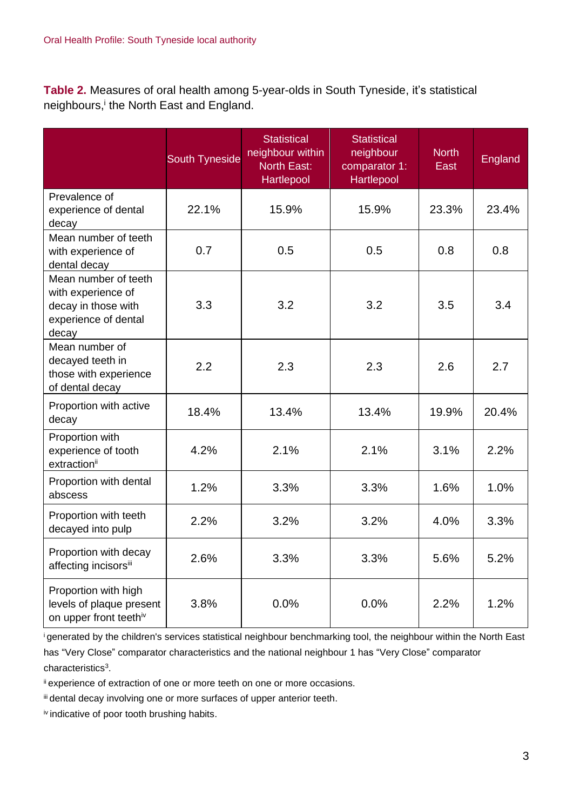**Table 2.** Measures of oral health among 5-year-olds in South Tyneside, it's statistical neighbours,<sup>i</sup> the North East and England.

|                                                                                                    | <b>South Tyneside</b> | <b>Statistical</b><br>neighbour within<br><b>North East:</b><br>Hartlepool | <b>Statistical</b><br>neighbour<br>comparator 1:<br>Hartlepool | <b>North</b><br>East | <b>England</b> |
|----------------------------------------------------------------------------------------------------|-----------------------|----------------------------------------------------------------------------|----------------------------------------------------------------|----------------------|----------------|
| Prevalence of<br>experience of dental<br>decay                                                     | 22.1%                 | 15.9%                                                                      | 15.9%                                                          | 23.3%                | 23.4%          |
| Mean number of teeth<br>with experience of<br>dental decay                                         | 0.7                   | 0.5                                                                        | 0.5                                                            | 0.8                  | 0.8            |
| Mean number of teeth<br>with experience of<br>decay in those with<br>experience of dental<br>decay | 3.3                   | 3.2                                                                        | 3.2                                                            | 3.5                  | 3.4            |
| Mean number of<br>decayed teeth in<br>those with experience<br>of dental decay                     | 2.2                   | 2.3                                                                        | 2.3                                                            | 2.6                  | 2.7            |
| Proportion with active<br>decay                                                                    | 18.4%                 | 13.4%                                                                      | 13.4%                                                          | 19.9%                | 20.4%          |
| Proportion with<br>experience of tooth<br>extractionii                                             | 4.2%                  | 2.1%                                                                       | 2.1%                                                           | 3.1%                 | 2.2%           |
| Proportion with dental<br>abscess                                                                  | 1.2%                  | 3.3%                                                                       | 3.3%                                                           | 1.6%                 | 1.0%           |
| Proportion with teeth<br>decayed into pulp                                                         | 2.2%                  | 3.2%                                                                       | 3.2%                                                           | 4.0%                 | 3.3%           |
| Proportion with decay<br>affecting incisorsii                                                      | 2.6%                  | 3.3%                                                                       | 3.3%                                                           | 5.6%                 | 5.2%           |
| Proportion with high<br>levels of plaque present<br>on upper front teethiv                         | 3.8%                  | 0.0%                                                                       | 0.0%                                                           | 2.2%                 | 1.2%           |

<sup>i</sup>generated by the children's services statistical neighbour benchmarking tool, the neighbour within the North East has "Very Close" comparator characteristics and the national neighbour 1 has "Very Close" comparator characteristics<sup>3</sup>.

ii experience of extraction of one or more teeth on one or more occasions.

iii dental decay involving one or more surfaces of upper anterior teeth.

iv indicative of poor tooth brushing habits.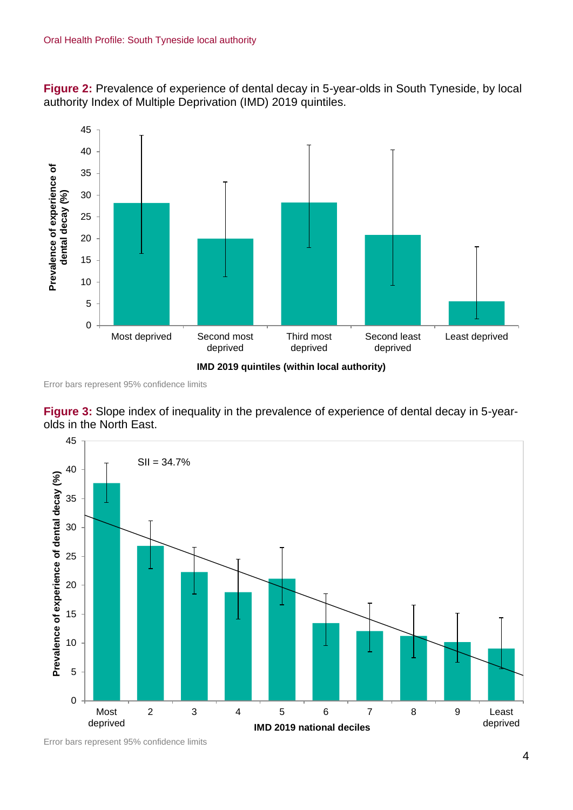**Figure 2:** Prevalence of experience of dental decay in 5-year-olds in South Tyneside, by local authority Index of Multiple Deprivation (IMD) 2019 quintiles.



Error bars represent 95% confidence limits





Error bars represent 95% confidence limits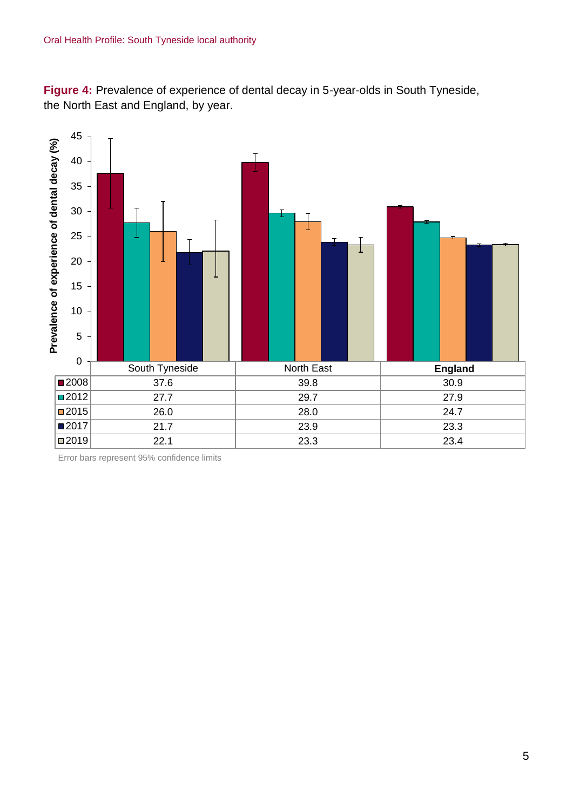**Figure 4:** Prevalence of experience of dental decay in 5-year-olds in South Tyneside, the North East and England, by year.



Error bars represent 95% confidence limits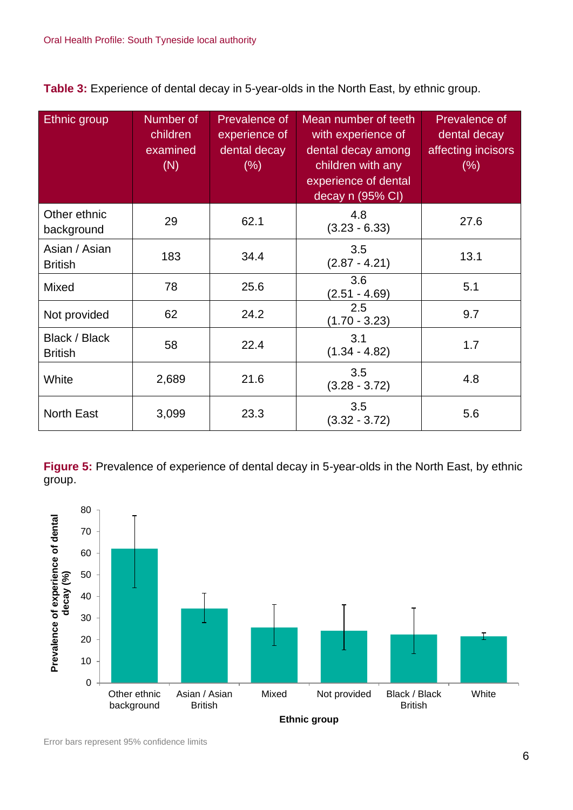**Table 3:** Experience of dental decay in 5-year-olds in the North East, by ethnic group.

| <b>Ethnic</b> group             | Number of<br>children<br>examined<br>(N) | Prevalence of<br>experience of<br>dental decay<br>$(\% )$ | Mean number of teeth<br>with experience of<br>dental decay among<br>children with any<br>experience of dental<br>decay n (95% CI) | Prevalence of<br>dental decay<br>affecting incisors<br>(% ) |
|---------------------------------|------------------------------------------|-----------------------------------------------------------|-----------------------------------------------------------------------------------------------------------------------------------|-------------------------------------------------------------|
| Other ethnic<br>background      | 29                                       | 62.1                                                      | 4.8<br>$(3.23 - 6.33)$                                                                                                            | 27.6                                                        |
| Asian / Asian<br><b>British</b> | 183                                      | 34.4                                                      | 3.5<br>$(2.87 - 4.21)$                                                                                                            | 13.1                                                        |
| <b>Mixed</b>                    | 78                                       | 25.6                                                      | 3.6<br>$(2.51 - 4.69)$                                                                                                            | 5.1                                                         |
| Not provided                    | 62                                       | 24.2                                                      | 2.5<br>$(1.70 - 3.23)$                                                                                                            | 9.7                                                         |
| Black / Black<br><b>British</b> | 58                                       | 22.4                                                      | 3.1<br>$(1.34 - 4.82)$                                                                                                            | 1.7                                                         |
| White                           | 2,689                                    | 21.6                                                      | 3.5<br>$(3.28 - 3.72)$                                                                                                            | 4.8                                                         |
| <b>North East</b>               | 3,099                                    | 23.3                                                      | 3.5<br>$(3.32 - 3.72)$                                                                                                            | 5.6                                                         |

**Figure 5:** Prevalence of experience of dental decay in 5-year-olds in the North East, by ethnic group.

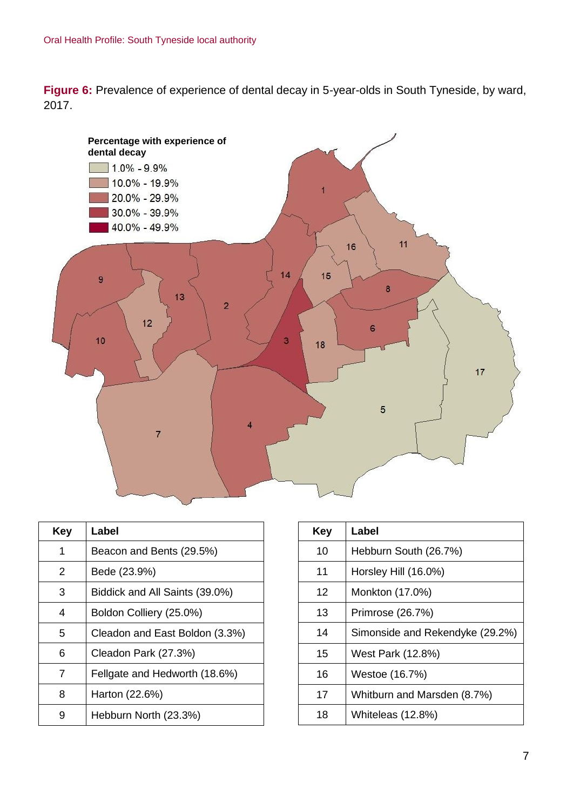**Figure 6:** Prevalence of experience of dental decay in 5-year-olds in South Tyneside, by ward, 2017.



| Key | Label                          |
|-----|--------------------------------|
| 1   | Beacon and Bents (29.5%)       |
| 2   | Bede (23.9%)                   |
| 3   | Biddick and All Saints (39.0%) |
| 4   | Boldon Colliery (25.0%)        |
| 5   | Cleadon and East Boldon (3.3%) |
| 6   | Cleadon Park (27.3%)           |
| 7   | Fellgate and Hedworth (18.6%)  |
| 8   | Harton (22.6%)                 |
|     | Hebburn North (23.3%)          |

| Key | Label                           |
|-----|---------------------------------|
| 10  | Hebburn South (26.7%)           |
| 11  | Horsley Hill (16.0%)            |
| 12  | Monkton (17.0%)                 |
| 13  | Primrose (26.7%)                |
| 14  | Simonside and Rekendyke (29.2%) |
| 15  | West Park (12.8%)               |
| 16  | Westoe (16.7%)                  |
| 17  | Whitburn and Marsden (8.7%)     |
| 18  | Whiteleas (12.8%)               |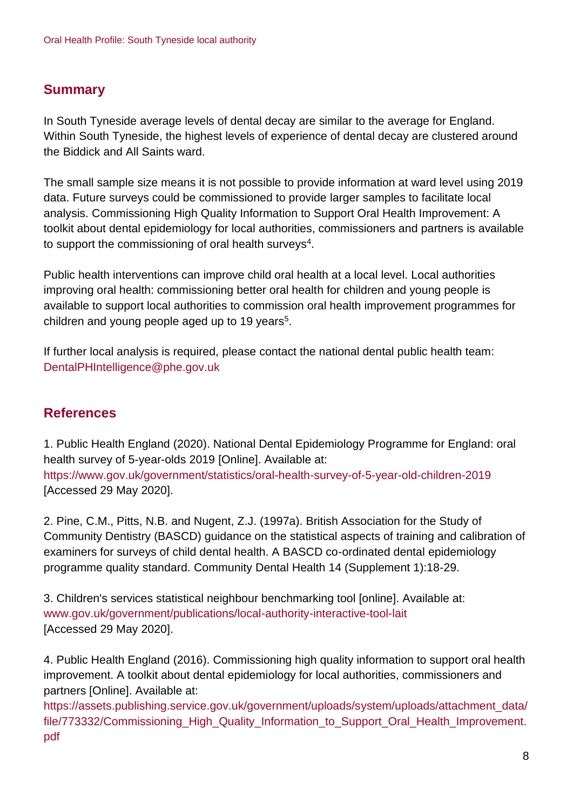## **Summary**

In South Tyneside average levels of dental decay are similar to the average for England. Within South Tyneside, the highest levels of experience of dental decay are clustered around the Biddick and All Saints ward.

The small sample size means it is not possible to provide information at ward level using 2019 data. Future surveys could be commissioned to provide larger samples to facilitate local analysis. Commissioning High Quality Information to Support Oral Health Improvement: A toolkit about dental epidemiology for local authorities, commissioners and partners is available to support the commissioning of oral health surveys $^4$ .

Public health interventions can improve child oral health at a local level. Local authorities improving oral health: commissioning better oral health for children and young people is available to support local authorities to commission oral health improvement programmes for children and young people aged up to 19 years<sup>5</sup>.

If further local analysis is required, please contact the national dental public health team: DentalPHIntelligence@phe.gov.uk

## **References**

1. Public Health England (2020). National Dental Epidemiology Programme for England: oral health survey of 5-year-olds 2019 [Online]. Available at: <https://www.gov.uk/government/statistics/oral-health-survey-of-5-year-old-children-2019> [Accessed 29 May 2020].

2. Pine, C.M., Pitts, N.B. and Nugent, Z.J. (1997a). British Association for the Study of Community Dentistry (BASCD) guidance on the statistical aspects of training and calibration of examiners for surveys of child dental health. A BASCD co-ordinated dental epidemiology programme quality standard. Community Dental Health 14 (Supplement 1):18-29.

3. Children's services statistical neighbour benchmarking tool [online]. Available at: [www.gov.uk/government/publications/local-authority-interactive-tool-lait](http://www.gov.uk/government/publications/local-authority-interactive-tool-lait) [Accessed 29 May 2020].

4. Public Health England (2016). Commissioning high quality information to support oral health improvement. A toolkit about dental epidemiology for local authorities, commissioners and partners [Online]. Available at:

[https://assets.publishing.service.gov.uk/government/uploads/system/uploads/attachment\\_data/](https://assets.publishing.service.gov.uk/government/uploads/system/uploads/attachment_data/file/773332/Commissioning_High_Quality_Information_to_Support_Oral_Health_Improvement.pdf) [file/773332/Commissioning\\_High\\_Quality\\_Information\\_to\\_Support\\_Oral\\_Health\\_Improvement.](https://assets.publishing.service.gov.uk/government/uploads/system/uploads/attachment_data/file/773332/Commissioning_High_Quality_Information_to_Support_Oral_Health_Improvement.pdf) [pdf](https://assets.publishing.service.gov.uk/government/uploads/system/uploads/attachment_data/file/773332/Commissioning_High_Quality_Information_to_Support_Oral_Health_Improvement.pdf)